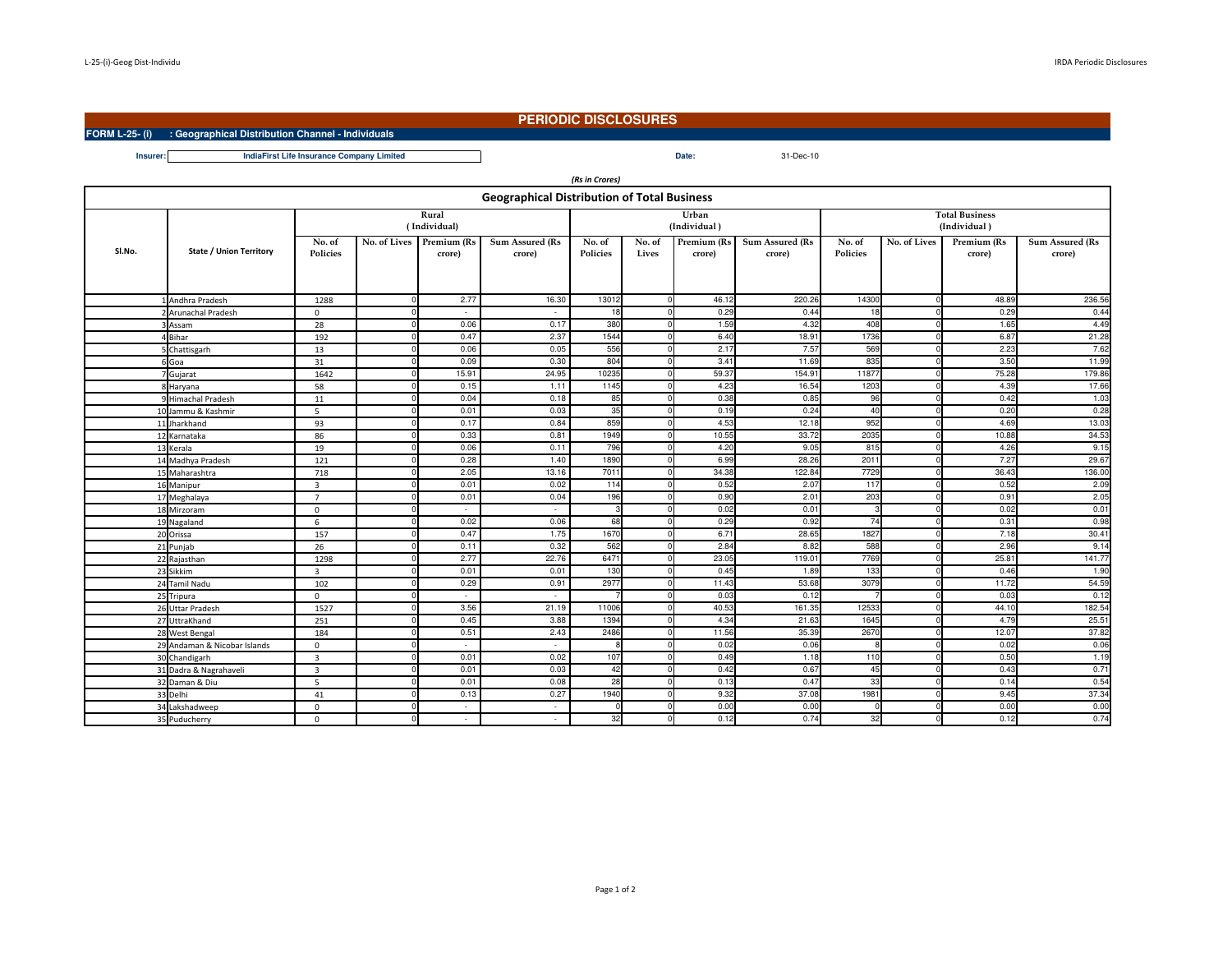**FORM L-25- (i) : Geographical Distribution Channel - Individuals**

## **PERIODIC DISCLOSURES**

**Date:** 31-Dec-10

**Insurer:Date:IndiaFirst Life Insurance Company Limited**

| (Rs in Crores)                                     |                                |                           |  |                                    |                                  |                           |                 |                       |                                  |                                       |              |                       |                           |
|----------------------------------------------------|--------------------------------|---------------------------|--|------------------------------------|----------------------------------|---------------------------|-----------------|-----------------------|----------------------------------|---------------------------------------|--------------|-----------------------|---------------------------|
| <b>Geographical Distribution of Total Business</b> |                                |                           |  |                                    |                                  |                           |                 |                       |                                  |                                       |              |                       |                           |
|                                                    |                                | Rural<br>(Individual)     |  |                                    |                                  |                           |                 | Urban<br>(Individual) |                                  | <b>Total Business</b><br>(Individual) |              |                       |                           |
| SI.No.                                             | <b>State / Union Territory</b> | No. of<br><b>Policies</b> |  | No. of Lives Premium (Rs<br>crore) | <b>Sum Assured (Rs</b><br>crore) | No. of<br><b>Policies</b> | No. of<br>Lives | Premium (Rs<br>crore) | <b>Sum Assured (Rs</b><br>crore) | No. of<br><b>Policies</b>             | No. of Lives | Premium (Rs<br>crore) | Sum Assured (Rs<br>crore) |
|                                                    |                                |                           |  |                                    |                                  |                           |                 |                       |                                  |                                       |              |                       |                           |
|                                                    | 1 Andhra Pradesh               | 1288                      |  | 2.77                               | 16.30                            | 13012                     | <sup>0</sup>    | 46.12<br>0.29         | 220.26                           | 14300<br>18                           |              | 48.89<br>0.29         | 236.56<br>0.44            |
|                                                    | 2 Arunachal Pradesh            | $\mathbf 0$               |  | $\sim$<br>0.06                     | $\sim$<br>0.17                   | 18<br>380                 | $\Omega$        |                       | 0.44                             | 408                                   | <sup>n</sup> |                       | 4.49                      |
|                                                    | 3 Assam<br>4 Bihar             | 28                        |  | 0.47                               | 2.37                             | 1544                      |                 | 1.59<br>6.40          | 4.32<br>18.91                    | 1736                                  |              | 1.65<br>6.87          | 21.28                     |
|                                                    |                                | 192<br>13                 |  | 0.06                               | 0.05                             | 556                       | $\Omega$        | 2.17                  | 7.57                             | 569                                   | $\Omega$     | 2.23                  | 7.62                      |
|                                                    | 5 Chattisgarh                  | 31                        |  | 0.09                               | 0.30                             | 804                       | $\Omega$        | 3.41                  | 11.69                            | 835                                   | $\Omega$     | 3.50                  | 11.99                     |
|                                                    | 6 Goa<br>7 Gujarat             | 1642                      |  | 15.91                              | 24.95                            | 10235                     | $\Omega$        | 59.37                 | 154.91                           | 11877                                 |              | 75.28                 | 179.86                    |
|                                                    | 8 Haryana                      | 58                        |  | 0.15                               | 1.11                             | 1145                      | $\Omega$        | 4.23                  | 16.54                            | 1203                                  | <sup>n</sup> | 4.39                  | 17.66                     |
|                                                    | 9 Himachal Pradesh             | 11                        |  | 0.04                               | 0.18                             | 85                        | $\Omega$        | 0.38                  | 0.85                             | 96                                    |              | 0.42                  | 1.03                      |
|                                                    | 10 Jammu & Kashmir             | -5                        |  | 0.01                               | 0.03                             | 35                        | $\Omega$        | 0.19                  | 0.24                             | 40                                    |              | 0.20                  | 0.28                      |
|                                                    | 11 Jharkhand                   | 93                        |  | 0.17                               | 0.84                             | 859                       | $\Omega$        | 4.53                  | 12.18                            | 952                                   | $\Omega$     | 4.69                  | 13.03                     |
|                                                    | 12 Karnataka                   | 86                        |  | 0.33                               | 0.81                             | 1949                      | $\Omega$        | 10.55                 | 33.72                            | 2035                                  |              | 10.88                 | 34.53                     |
|                                                    | 13 Kerala                      | 19                        |  | 0.06                               | 0.11                             | 796                       | $\Omega$        | 4.20                  | 9.05                             | 815                                   |              | 4.26                  | 9.15                      |
|                                                    | 14 Madhya Pradesh              | 121                       |  | 0.28                               | 1.40                             | 1890                      | $\Omega$        | 6.99                  | 28.26                            | 2011                                  |              | 7.27                  | 29.67                     |
|                                                    | 15 Maharashtra                 | 718                       |  | 2.05                               | 13.16                            | 7011                      |                 | 34.38                 | 122.84                           | 7729                                  |              | 36.43                 | 136.00                    |
|                                                    | 16 Manipur                     | $\overline{3}$            |  | 0.01                               | 0.02                             | 114                       | $\Omega$        | 0.52                  | 2.07                             | 117                                   |              | 0.52                  | 2.09                      |
|                                                    | 17 Meghalaya                   | $\overline{7}$            |  | 0.01                               | 0.04                             | 196                       | $\Omega$        | 0.90                  | 2.01                             | 203                                   |              | 0.91                  | 2.05                      |
|                                                    | 18 Mirzoram                    | $\mathbf 0$               |  |                                    | $\sim$                           | -3                        |                 | 0.02                  | 0.01                             |                                       |              | 0.02                  | 0.01                      |
|                                                    | 19 Nagaland                    | 6                         |  | 0.02                               | 0.06                             | 68                        | $\Omega$        | 0.29                  | 0.92                             | 74                                    |              | 0.31                  | 0.98                      |
|                                                    | 20 Orissa                      | 157                       |  | 0.47                               | 1.75                             | 1670                      | $\Omega$        | 6.71                  | 28.65                            | 1827                                  | U            | 7.18                  | 30.41                     |
|                                                    | 21 Punjab                      | 26                        |  | 0.11                               | 0.32                             | 562                       |                 | 2.84                  | 8.82                             | 588                                   |              | 2.96                  | 9.14                      |
|                                                    | 22 Rajasthan                   | 1298                      |  | 2.77                               | 22.76                            | 6471                      | $\Omega$        | 23.05                 | 119.01                           | 7769                                  | <sup>n</sup> | 25.81                 | 141.77                    |
|                                                    | 23 Sikkim                      | $\overline{3}$            |  | 0.01                               | 0.01                             | 130                       | $\Omega$        | 0.45                  | 1.89                             | 133                                   |              | 0.46                  | 1.90                      |
|                                                    | 24 Tamil Nadu                  | 102                       |  | 0.29                               | 0.91                             | 2977                      |                 | 11.43                 | 53.68                            | 3079                                  |              | 11.72                 | 54.59                     |
|                                                    | 25 Tripura                     | $\mathbf 0$               |  | $\sim$                             | $\sim$                           |                           | $\Omega$        | 0.03                  | 0.12                             |                                       | <sup>n</sup> | 0.03                  | 0.12                      |
|                                                    | 26 Uttar Pradesh               | 1527                      |  | 3.56                               | 21.19                            | 11006                     | $\Omega$        | 40.53                 | 161.35                           | 12533                                 |              | 44.10                 | 182.54                    |
|                                                    | 27 UttraKhand                  | 251                       |  | 0.45                               | 3.88                             | 1394                      |                 | 4.34                  | 21.63                            | 1645                                  |              | 4.79                  | 25.51                     |
|                                                    | 28 West Bengal                 | 184                       |  | 0.51                               | 2.43                             | 2486                      | <sup>0</sup>    | 11.56                 | 35.39                            | 2670                                  | <sup>n</sup> | 12.07                 | 37.82                     |
|                                                    | 29 Andaman & Nicobar Islands   | $\mathbf 0$               |  | ٠                                  | $\sim$                           | -8                        | $\Omega$        | 0.02                  | 0.06                             |                                       |              | 0.02                  | 0.06                      |
|                                                    | 30 Chandigarh                  | $\overline{3}$            |  | 0.01                               | 0.02                             | 107                       |                 | 0.49                  | 1.18                             | 110                                   |              | 0.50                  | 1.19                      |
|                                                    | 31 Dadra & Nagrahaveli         | $\overline{\mathbf{3}}$   |  | 0.01                               | 0.03                             | 42                        | $\Omega$        | 0.42                  | 0.67                             | 45                                    | $\Omega$     | 0.43                  | 0.71                      |
|                                                    | 32 Daman & Diu                 | 5                         |  | 0.01                               | 0.08                             | 28                        | $\Omega$        | 0.13                  | 0.47                             | 33                                    |              | 0.14                  | 0.54                      |
|                                                    | 33 Delhi                       | 41                        |  | 0.13                               | 0.27                             | 1940                      |                 | 9.32                  | 37.08                            | 1981                                  |              | 9.45                  | 37.34                     |
|                                                    | 34 Lakshadweep                 | $\mathbf 0$               |  | $\overline{\phantom{a}}$           | $\sim$                           | $\Omega$                  | $\circ$         | 0.00                  | 0.00                             | O                                     | $\Omega$     | 0.00                  | 0.00                      |
|                                                    | 35 Puducherry                  | $\mathbf{0}$              |  |                                    | $\overline{\phantom{a}}$         | 32                        | $\Omega$        | 0.12                  | 0.74                             | 32                                    |              | 0.12                  | 0.74                      |